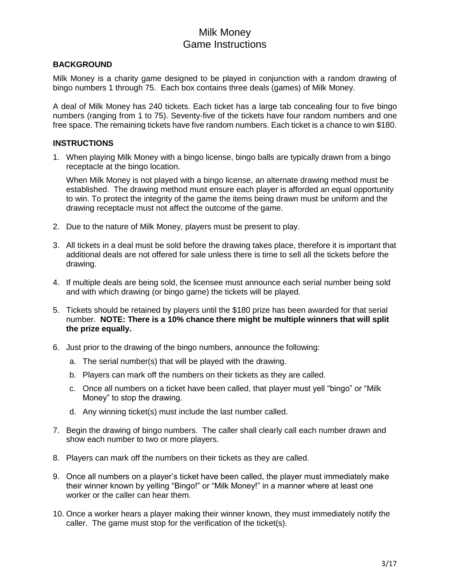# Milk Money Game Instructions

### **BACKGROUND**

Milk Money is a charity game designed to be played in conjunction with a random drawing of bingo numbers 1 through 75. Each box contains three deals (games) of Milk Money.

A deal of Milk Money has 240 tickets. Each ticket has a large tab concealing four to five bingo numbers (ranging from 1 to 75). Seventy-five of the tickets have four random numbers and one free space. The remaining tickets have five random numbers. Each ticket is a chance to win \$180.

### **INSTRUCTIONS**

1. When playing Milk Money with a bingo license, bingo balls are typically drawn from a bingo receptacle at the bingo location.

When Milk Money is not played with a bingo license, an alternate drawing method must be established. The drawing method must ensure each player is afforded an equal opportunity to win. To protect the integrity of the game the items being drawn must be uniform and the drawing receptacle must not affect the outcome of the game.

- 2. Due to the nature of Milk Money, players must be present to play.
- 3. All tickets in a deal must be sold before the drawing takes place, therefore it is important that additional deals are not offered for sale unless there is time to sell all the tickets before the drawing.
- 4. If multiple deals are being sold, the licensee must announce each serial number being sold and with which drawing (or bingo game) the tickets will be played.
- 5. Tickets should be retained by players until the \$180 prize has been awarded for that serial number. **NOTE: There is a 10% chance there might be multiple winners that will split the prize equally.**
- 6. Just prior to the drawing of the bingo numbers, announce the following:
	- a. The serial number(s) that will be played with the drawing.
	- b. Players can mark off the numbers on their tickets as they are called.
	- c. Once all numbers on a ticket have been called, that player must yell "bingo" or "Milk Money" to stop the drawing.
	- d. Any winning ticket(s) must include the last number called.
- 7. Begin the drawing of bingo numbers. The caller shall clearly call each number drawn and show each number to two or more players.
- 8. Players can mark off the numbers on their tickets as they are called.
- 9. Once all numbers on a player's ticket have been called, the player must immediately make their winner known by yelling "Bingo!" or "Milk Money!" in a manner where at least one worker or the caller can hear them.
- 10. Once a worker hears a player making their winner known, they must immediately notify the caller. The game must stop for the verification of the ticket(s).